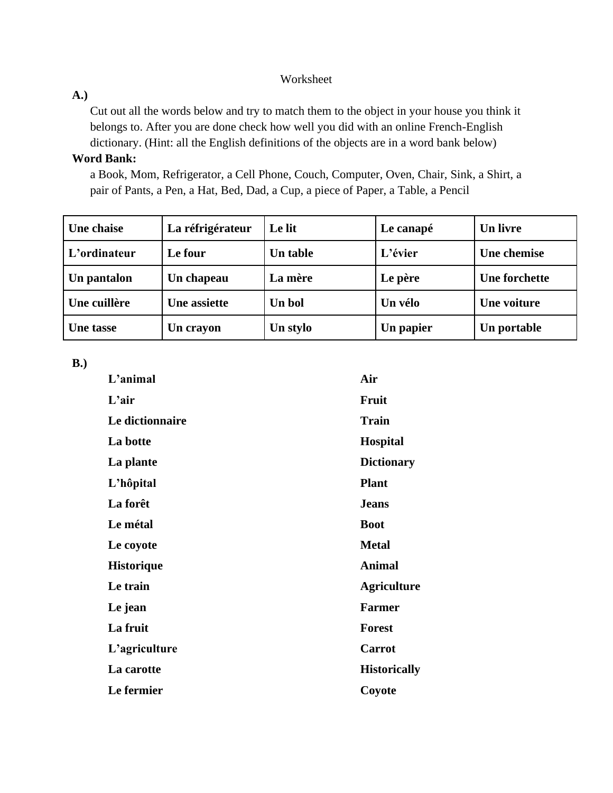## Worksheet

## **A.)**

Cut out all the words below and try to match them to the object in your house you think it belongs to. After you are done check how well you did with an online French-English dictionary. (Hint: all the English definitions of the objects are in a word bank below)

## **Word Bank:**

a Book, Mom, Refrigerator, a Cell Phone, Couch, Computer, Oven, Chair, Sink, a Shirt, a pair of Pants, a Pen, a Hat, Bed, Dad, a Cup, a piece of Paper, a Table, a Pencil

| Une chaise   | La réfrigérateur | Le lit   | Le canapé | Un livre      |
|--------------|------------------|----------|-----------|---------------|
| L'ordinateur | Le four          | Un table | L'évier   | Une chemise   |
| Un pantalon  | Un chapeau       | La mère  | Le père   | Une forchette |
| Une cuillère | Une assiette     | Un bol   | Un vélo   | Une voiture   |
| Une tasse    | Un crayon        | Un stylo | Un papier | Un portable   |

**B.)**

| L'animal          | Air                 |
|-------------------|---------------------|
| L'air             | Fruit               |
| Le dictionnaire   | <b>Train</b>        |
| La botte          | Hospital            |
| La plante         | <b>Dictionary</b>   |
| L'hôpital         | <b>Plant</b>        |
| La forêt          | <b>Jeans</b>        |
| Le métal          | <b>Boot</b>         |
| Le coyote         | <b>Metal</b>        |
| <b>Historique</b> | <b>Animal</b>       |
| Le train          | <b>Agriculture</b>  |
| Le jean           | <b>Farmer</b>       |
| La fruit          | <b>Forest</b>       |
| L'agriculture     | <b>Carrot</b>       |
| La carotte        | <b>Historically</b> |
| Le fermier        | Coyote              |